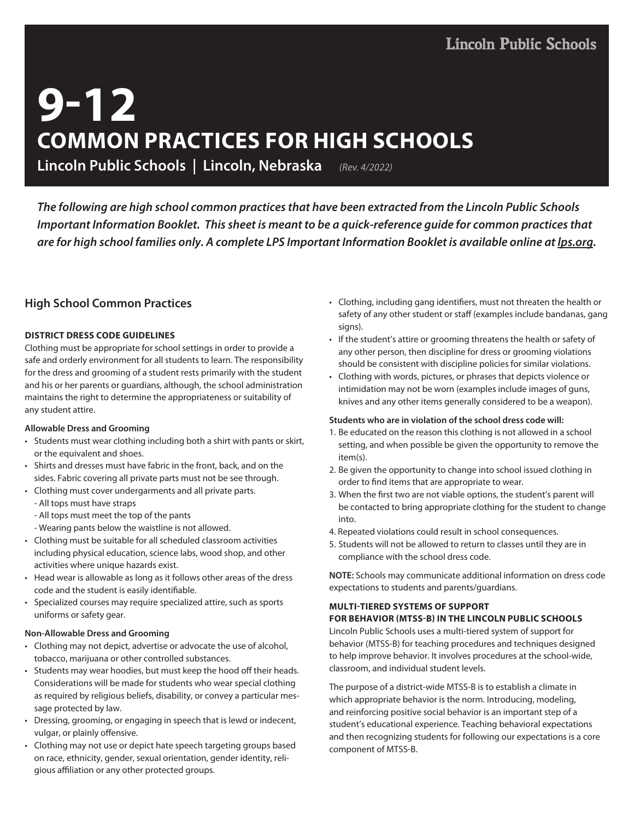# **9-12 COMMON PRACTICES FOR HIGH SCHOOLS**

**Lincoln Public Schools | Lincoln, Nebraska** *(Rev. 4/2022)*

*The following are high school common practices that have been extracted from the Lincoln Public Schools Important Information Booklet. This sheet is meant to be a quick-reference guide for common practices that are for high school families only. A complete LPS Important Information Booklet is available online at lps.org.*

## **High School Common Practices**

#### **DISTRICT DRESS CODE GUIDELINES**

Clothing must be appropriate for school settings in order to provide a safe and orderly environment for all students to learn. The responsibility for the dress and grooming of a student rests primarily with the student and his or her parents or guardians, although, the school administration maintains the right to determine the appropriateness or suitability of any student attire.

#### **Allowable Dress and Grooming**

- Students must wear clothing including both a shirt with pants or skirt, or the equivalent and shoes.
- Shirts and dresses must have fabric in the front, back, and on the sides. Fabric covering all private parts must not be see through.
- Clothing must cover undergarments and all private parts.
	- All tops must have straps
	- All tops must meet the top of the pants
	- Wearing pants below the waistline is not allowed.
- Clothing must be suitable for all scheduled classroom activities including physical education, science labs, wood shop, and other activities where unique hazards exist.
- Head wear is allowable as long as it follows other areas of the dress code and the student is easily identifiable.
- Specialized courses may require specialized attire, such as sports uniforms or safety gear.

#### **Non-Allowable Dress and Grooming**

- Clothing may not depict, advertise or advocate the use of alcohol, tobacco, marijuana or other controlled substances.
- Students may wear hoodies, but must keep the hood off their heads. Considerations will be made for students who wear special clothing as required by religious beliefs, disability, or convey a particular message protected by law.
- Dressing, grooming, or engaging in speech that is lewd or indecent, vulgar, or plainly offensive.
- Clothing may not use or depict hate speech targeting groups based on race, ethnicity, gender, sexual orientation, gender identity, religious affiliation or any other protected groups.
- Clothing, including gang identifiers, must not threaten the health or safety of any other student or staff (examples include bandanas, gang signs).
- If the student's attire or grooming threatens the health or safety of any other person, then discipline for dress or grooming violations should be consistent with discipline policies for similar violations.
- Clothing with words, pictures, or phrases that depicts violence or intimidation may not be worn (examples include images of guns, knives and any other items generally considered to be a weapon).

#### **Students who are in violation of the school dress code will:**

- 1. Be educated on the reason this clothing is not allowed in a school setting, and when possible be given the opportunity to remove the item(s).
- 2. Be given the opportunity to change into school issued clothing in order to find items that are appropriate to wear.
- 3. When the first two are not viable options, the student's parent will be contacted to bring appropriate clothing for the student to change into.
- 4. Repeated violations could result in school consequences.
- 5. Students will not be allowed to return to classes until they are in compliance with the school dress code.

**NOTE:** Schools may communicate additional information on dress code expectations to students and parents/guardians.

## **MULTI-TIERED SYSTEMS OF SUPPORT**

## **FOR BEHAVIOR (MTSS-B) IN THE LINCOLN PUBLIC SCHOOLS**

Lincoln Public Schools uses a multi-tiered system of support for behavior (MTSS-B) for teaching procedures and techniques designed to help improve behavior. It involves procedures at the school-wide, classroom, and individual student levels.

The purpose of a district-wide MTSS-B is to establish a climate in which appropriate behavior is the norm. Introducing, modeling, and reinforcing positive social behavior is an important step of a student's educational experience. Teaching behavioral expectations and then recognizing students for following our expectations is a core component of MTSS-B.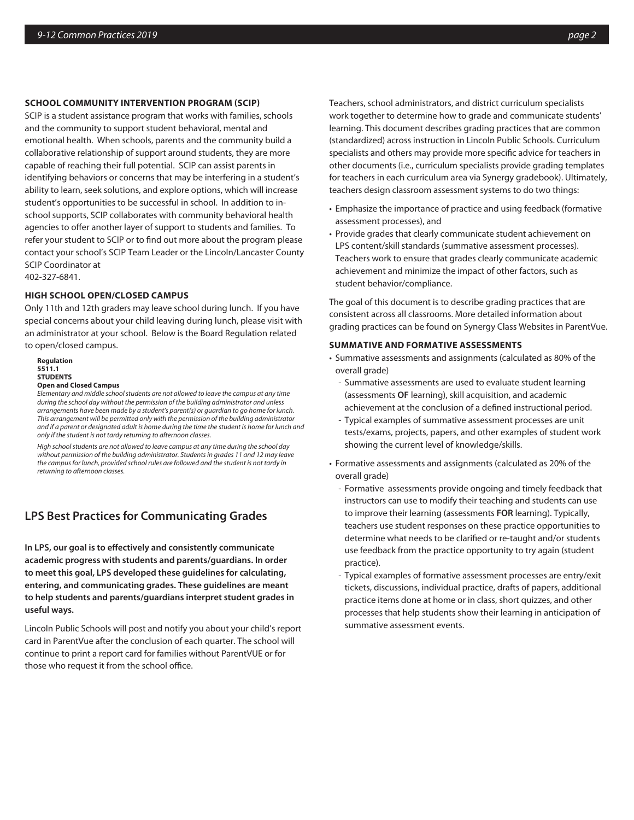#### **SCHOOL COMMUNITY INTERVENTION PROGRAM (SCIP)**

SCIP is a student assistance program that works with families, schools and the community to support student behavioral, mental and emotional health. When schools, parents and the community build a collaborative relationship of support around students, they are more capable of reaching their full potential. SCIP can assist parents in identifying behaviors or concerns that may be interfering in a student's ability to learn, seek solutions, and explore options, which will increase student's opportunities to be successful in school. In addition to inschool supports, SCIP collaborates with community behavioral health agencies to offer another layer of support to students and families. To refer your student to SCIP or to find out more about the program please contact your school's SCIP Team Leader or the Lincoln/Lancaster County SCIP Coordinator at

402-327-6841.

#### **HIGH SCHOOL OPEN/CLOSED CAMPUS**

Only 11th and 12th graders may leave school during lunch. If you have special concerns about your child leaving during lunch, please visit with an administrator at your school. Below is the Board Regulation related to open/closed campus.

**Regulation 5511.1 STUDENTS Open and Closed Campus** 

*Elementary and middle school students are not allowed to leave the campus at any time during the school day without the permission of the building administrator and unless arrangements have been made by a student's parent(s) or guardian to go home for lunch. This arrangement will be permitted only with the permission of the building administrator and if a parent or designated adult is home during the time the student is home for lunch and only if the student is not tardy returning to afternoon classes.* 

*High school students are not allowed to leave campus at any time during the school day without permission of the building administrator. Students in grades 11 and 12 may leave the campus for lunch, provided school rules are followed and the student is not tardy in returning to afternoon classes.*

## **LPS Best Practices for Communicating Grades**

**In LPS, our goal is to effectively and consistently communicate academic progress with students and parents/guardians. In order to meet this goal, LPS developed these guidelines for calculating, entering, and communicating grades. These guidelines are meant to help students and parents/guardians interpret student grades in useful ways.** 

Lincoln Public Schools will post and notify you about your child's report card in ParentVue after the conclusion of each quarter. The school will continue to print a report card for families without ParentVUE or for those who request it from the school office.

Teachers, school administrators, and district curriculum specialists work together to determine how to grade and communicate students' learning. This document describes grading practices that are common (standardized) across instruction in Lincoln Public Schools. Curriculum specialists and others may provide more specific advice for teachers in other documents (i.e., curriculum specialists provide grading templates for teachers in each curriculum area via Synergy gradebook). Ultimately, teachers design classroom assessment systems to do two things:

- Emphasize the importance of practice and using feedback (formative assessment processes), and
- Provide grades that clearly communicate student achievement on LPS content/skill standards (summative assessment processes). Teachers work to ensure that grades clearly communicate academic achievement and minimize the impact of other factors, such as student behavior/compliance.

The goal of this document is to describe grading practices that are consistent across all classrooms. More detailed information about grading practices can be found on Synergy Class Websites in ParentVue.

#### **SUMMATIVE AND FORMATIVE ASSESSMENTS**

- Summative assessments and assignments (calculated as 80% of the overall grade)
	- Summative assessments are used to evaluate student learning (assessments **OF** learning), skill acquisition, and academic achievement at the conclusion of a defined instructional period.
	- Typical examples of summative assessment processes are unit tests/exams, projects, papers, and other examples of student work showing the current level of knowledge/skills.
- Formative assessments and assignments (calculated as 20% of the overall grade)
	- Formative assessments provide ongoing and timely feedback that instructors can use to modify their teaching and students can use to improve their learning (assessments **FOR** learning). Typically, teachers use student responses on these practice opportunities to determine what needs to be clarified or re-taught and/or students use feedback from the practice opportunity to try again (student practice).
	- Typical examples of formative assessment processes are entry/exit tickets, discussions, individual practice, drafts of papers, additional practice items done at home or in class, short quizzes, and other processes that help students show their learning in anticipation of summative assessment events.